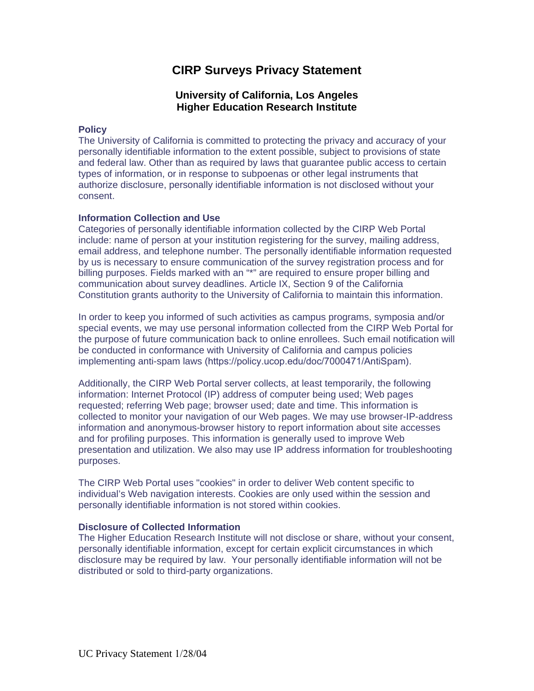# **CIRP Surveys Privacy Statement**

## **University of California, Los Angeles Higher Education Research Institute**

## **Policy**

The University of California is committed to protecting the privacy and accuracy of your personally identifiable information to the extent possible, subject to provisions of state and federal law. Other than as required by laws that guarantee public access to certain types of information, or in response to subpoenas or other legal instruments that authorize disclosure, personally identifiable information is not disclosed without your consent.

## **Information Collection and Use**

Categories of personally identifiable information collected by the CIRP Web Portal include: name of person at your institution registering for the survey, mailing address, email address, and telephone number. The personally identifiable information requested by us is necessary to ensure communication of the survey registration process and for billing purposes. Fields marked with an "\*" are required to ensure proper billing and communication about survey deadlines. Article IX, Section 9 of the California Constitution grants authority to the University of California to maintain this information.

In order to keep you informed of such activities as campus programs, symposia and/or special events, we may use personal information collected from the CIRP Web Portal for the purpose of future communication back to online enrollees. Such email notification will be conducted in conformance with University of California and campus policies implementing anti-spam laws (https://policy.ucop.edu/doc/7000471/AntiSpam).

Additionally, the CIRP Web Portal server collects, at least temporarily, the following information: Internet Protocol (IP) address of computer being used; Web pages requested; referring Web page; browser used; date and time. This information is collected to monitor your navigation of our Web pages. We may use browser-IP-address information and anonymous-browser history to report information about site accesses and for profiling purposes. This information is generally used to improve Web presentation and utilization. We also may use IP address information for troubleshooting purposes.

The CIRP Web Portal uses "cookies" in order to deliver Web content specific to individual's Web navigation interests. Cookies are only used within the session and personally identifiable information is not stored within cookies.

## **Disclosure of Collected Information**

The Higher Education Research Institute will not disclose or share, without your consent, personally identifiable information, except for certain explicit circumstances in which disclosure may be required by law. Your personally identifiable information will not be distributed or sold to third-party organizations.